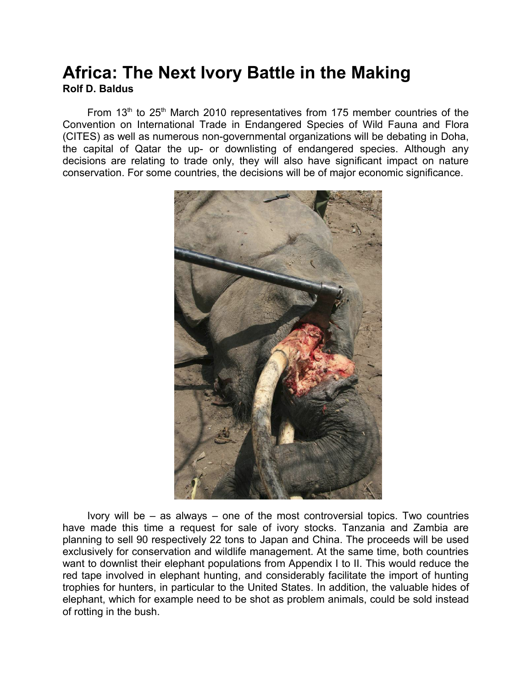## **Africa: The Next Ivory Battle in the Making Rolf D. Baldus**

From  $13<sup>th</sup>$  to  $25<sup>th</sup>$  March 2010 representatives from 175 member countries of the Convention on International Trade in Endangered Species of Wild Fauna and Flora (CITES) as well as numerous non-governmental organizations will be debating in Doha, the capital of Qatar the up- or downlisting of endangered species. Although any decisions are relating to trade only, they will also have significant impact on nature conservation. For some countries, the decisions will be of major economic significance.



Ivory will be – as always – one of the most controversial topics. Two countries have made this time a request for sale of ivory stocks. Tanzania and Zambia are planning to sell 90 respectively 22 tons to Japan and China. The proceeds will be used exclusively for conservation and wildlife management. At the same time, both countries want to downlist their elephant populations from Appendix I to II. This would reduce the red tape involved in elephant hunting, and considerably facilitate the import of hunting trophies for hunters, in particular to the United States. In addition, the valuable hides of elephant, which for example need to be shot as problem animals, could be sold instead of rotting in the bush.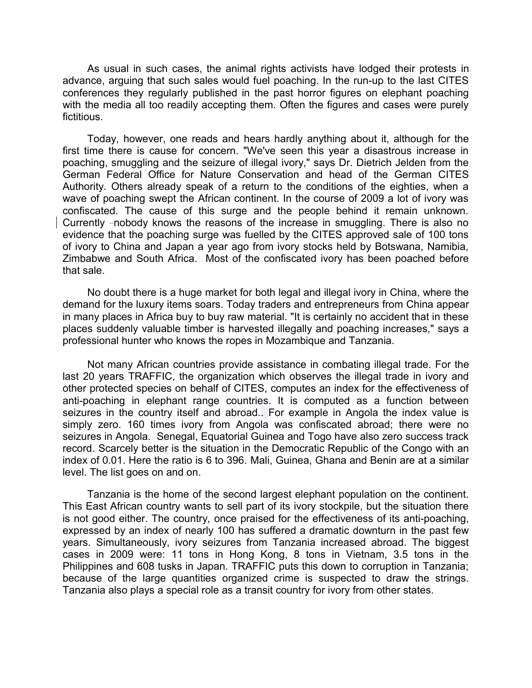As usual in such cases, the animal rights activists have lodged their protests in advance, arguing that such sales would fuel poaching. In the run-up to the last CITES conferences they regularly published in the past horror figures on elephant poaching with the media all too readily accepting them. Often the figures and cases were purely fictitious.

Today, however, one reads and hears hardly anything about it, although for the first time there is cause for concern. "We've seen this year a disastrous increase in poaching, smuggling and the seizure of illegal ivory," says Dr. Dietrich Jelden from the German Federal Office for Nature Conservation and head of the German CITES Authority. Others already speak of a return to the conditions of the eighties, when a wave of poaching swept the African continent. In the course of 2009 a lot of ivory was confiscated. The cause of this surge and the people behind it remain unknown. Currently -nobody knows the reasons of the increase in smuggling. There is also no evidence that the poaching surge was fuelled by the CITES approved sale of 100 tons of ivory to China and Japan a year ago from ivory stocks held by Botswana, Namibia, Zimbabwe and South Africa. Most of the confiscated ivory has been poached before that sale.

No doubt there is a huge market for both legal and illegal ivory in China, where the demand for the luxury items soars. Today traders and entrepreneurs from China appear in many places in Africa buy to buy raw material. "It is certainly no accident that in these places suddenly valuable timber is harvested illegally and poaching increases," says a professional hunter who knows the ropes in Mozambique and Tanzania.

Not many African countries provide assistance in combating illegal trade. For the last 20 years TRAFFIC, the organization which observes the illegal trade in ivory and other protected species on behalf of CITES, computes an index for the effectiveness of anti-poaching in elephant range countries. It is computed as a function between seizures in the country itself and abroad.. For example in Angola the index value is simply zero. 160 times ivory from Angola was confiscated abroad; there were no seizures in Angola. Senegal, Equatorial Guinea and Togo have also zero success track record. Scarcely better is the situation in the Democratic Republic of the Congo with an index of 0.01. Here the ratio is 6 to 396. Mali, Guinea, Ghana and Benin are at a similar level. The list goes on and on.

Tanzania is the home of the second largest elephant population on the continent. This East African country wants to sell part of its ivory stockpile, but the situation there is not good either. The country, once praised for the effectiveness of its anti-poaching, expressed by an index of nearly 100 has suffered a dramatic downturn in the past few years. Simultaneously, ivory seizures from Tanzania increased abroad. The biggest cases in 2009 were: 11 tons in Hong Kong, 8 tons in Vietnam, 3.5 tons in the Philippines and 608 tusks in Japan. TRAFFIC puts this down to corruption in Tanzania; because of the large quantities organized crime is suspected to draw the strings. Tanzania also plays a special role as a transit country for ivory from other states.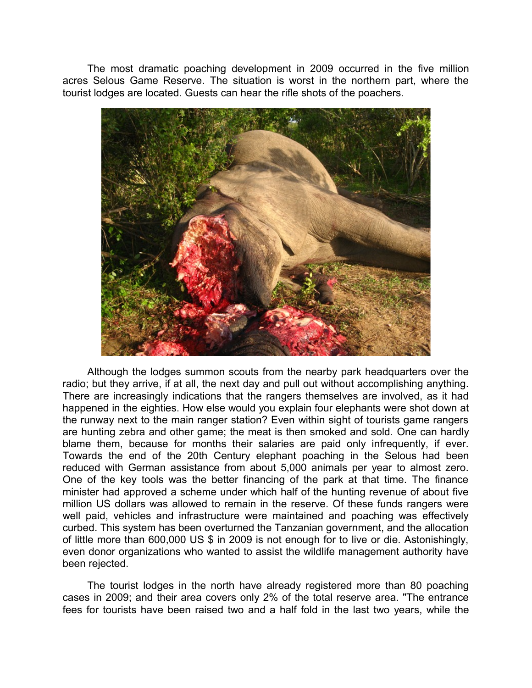The most dramatic poaching development in 2009 occurred in the five million acres Selous Game Reserve. The situation is worst in the northern part, where the tourist lodges are located. Guests can hear the rifle shots of the poachers.



Although the lodges summon scouts from the nearby park headquarters over the radio; but they arrive, if at all, the next day and pull out without accomplishing anything. There are increasingly indications that the rangers themselves are involved, as it had happened in the eighties. How else would you explain four elephants were shot down at the runway next to the main ranger station? Even within sight of tourists game rangers are hunting zebra and other game; the meat is then smoked and sold. One can hardly blame them, because for months their salaries are paid only infrequently, if ever. Towards the end of the 20th Century elephant poaching in the Selous had been reduced with German assistance from about 5,000 animals per year to almost zero. One of the key tools was the better financing of the park at that time. The finance minister had approved a scheme under which half of the hunting revenue of about five million US dollars was allowed to remain in the reserve. Of these funds rangers were well paid, vehicles and infrastructure were maintained and poaching was effectively curbed. This system has been overturned the Tanzanian government, and the allocation of little more than 600,000 US \$ in 2009 is not enough for to live or die. Astonishingly, even donor organizations who wanted to assist the wildlife management authority have been rejected.

The tourist lodges in the north have already registered more than 80 poaching cases in 2009; and their area covers only 2% of the total reserve area. "The entrance fees for tourists have been raised two and a half fold in the last two years, while the